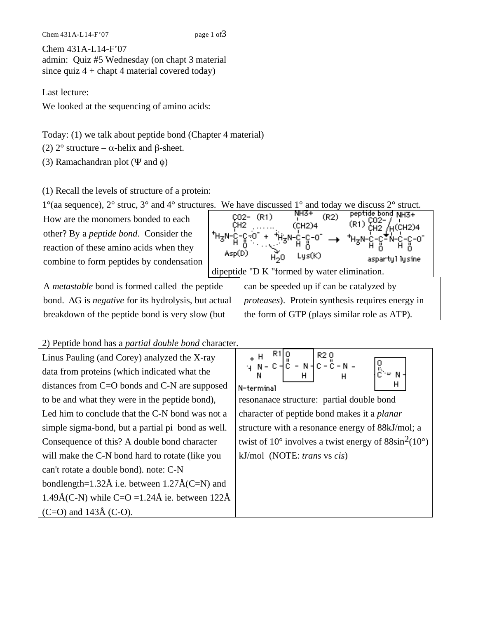Chem  $431A-L14-F'07$  page 1 of  $3$ 

Chem 431A-L14-F'07 admin: Quiz #5 Wednesday (on chapt 3 material since quiz  $4 +$  chapt 4 material covered today)

Last lecture:

We looked at the sequencing of amino acids:

Today: (1) we talk about peptide bond (Chapter 4 material)

(2)  $2^{\circ}$  structure –  $\alpha$ -helix and  $\beta$ -sheet.

(3) Ramachandran plot ( $\Psi$  and  $\phi$ )

(1) Recall the levels of structure of a protein:

| $1^{\circ}$ (aa sequence), $2^{\circ}$ struc, $3^{\circ}$ and $4^{\circ}$ structures. We have discussed $1^{\circ}$ and today we discuss $2^{\circ}$ struct. |                                                          |                                                                                |  |  |
|--------------------------------------------------------------------------------------------------------------------------------------------------------------|----------------------------------------------------------|--------------------------------------------------------------------------------|--|--|
| How are the monomers bonded to each                                                                                                                          |                                                          | peptide bond NH3+<br>NH3+<br>(R2)<br>CO2- (R1)<br>$/$ H(CH2)4<br>(CH2)4<br>CH2 |  |  |
| other? By a <i>peptide bond</i> . Consider the                                                                                                               | ⋰ <sub>ҵ</sub> ⊿⊩°⊢                                      |                                                                                |  |  |
| reaction of these amino acids when they                                                                                                                      |                                                          | → 채 <sub>3</sub> N-psilon-유້ฟ-Բ-유-01                                           |  |  |
| combine to form peptides by condensation                                                                                                                     | Asp(D)<br>Lys(K)<br>H <sub>2</sub> O<br>aspartyl lysine. |                                                                                |  |  |
|                                                                                                                                                              |                                                          | dipeptide "D K "formed by water elimination.                                   |  |  |
| A <i>metastable</i> bond is formed called the peptide                                                                                                        |                                                          | can be speeded up if can be catalyzed by                                       |  |  |
| bond. $\Delta G$ is <i>negative</i> for its hydrolysis, but actual                                                                                           |                                                          | <i>proteases</i> ). Protein synthesis requires energy in                       |  |  |
| breakdown of the peptide bond is very slow (but                                                                                                              |                                                          | the form of GTP (plays similar role as ATP).                                   |  |  |

## 2) Peptide bond has a *partial double bond* character.

| Linus Pauling (and Corey) analyzed the X-ray            | + H R1 0<br>+ H R1 0<br>+ H R1 0<br>- N - C - N - C - C - N -                       |  |  |  |
|---------------------------------------------------------|-------------------------------------------------------------------------------------|--|--|--|
| data from proteins (which indicated what the            |                                                                                     |  |  |  |
| distances from $C=O$ bonds and $C-N$ are supposed       | N-terminal                                                                          |  |  |  |
| to be and what they were in the peptide bond),          | resonance structure: partial double bond                                            |  |  |  |
| Led him to conclude that the C-N bond was not a         | character of peptide bond makes it a <i>planar</i>                                  |  |  |  |
| simple sigma-bond, but a partial pi bond as well.       | structure with a resonance energy of 88kJ/mol; a                                    |  |  |  |
| Consequence of this? A double bond character            | twist of 10 $\degree$ involves a twist energy of 88sin <sup>2</sup> (10 $\degree$ ) |  |  |  |
| will make the C-N bond hard to rotate (like you         | kJ/mol (NOTE: trans vs cis)                                                         |  |  |  |
| can't rotate a double bond). note: C-N                  |                                                                                     |  |  |  |
| bondlength=1.32 $\AA$ i.e. between 1.27 $\AA$ (C=N) and |                                                                                     |  |  |  |
| 1.49Å(C-N) while C=O =1.24Å ie. between $122\text{\AA}$ |                                                                                     |  |  |  |
| $(C=O)$ and 143Å $(C-O)$ .                              |                                                                                     |  |  |  |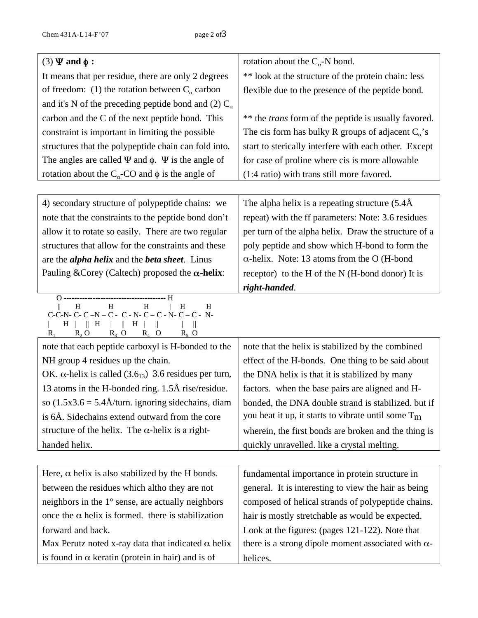| $(3) \Psi$ and $\phi$ :                                                                                                                                                                            | rotation about the $C_{\alpha}$ -N bond.                    |  |  |
|----------------------------------------------------------------------------------------------------------------------------------------------------------------------------------------------------|-------------------------------------------------------------|--|--|
| It means that per residue, there are only 2 degrees                                                                                                                                                | ** look at the structure of the protein chain: less         |  |  |
| of freedom: (1) the rotation between $C_{\alpha}$ carbon                                                                                                                                           | flexible due to the presence of the peptide bond.           |  |  |
| and it's N of the preceding peptide bond and (2) $C_{\alpha}$                                                                                                                                      |                                                             |  |  |
| carbon and the C of the next peptide bond. This                                                                                                                                                    | ** the <i>trans</i> form of the peptide is usually favored. |  |  |
| constraint is important in limiting the possible                                                                                                                                                   | The cis form has bulky R groups of adjacent $C_{\alpha}$ 's |  |  |
| structures that the polypeptide chain can fold into.                                                                                                                                               | start to sterically interfere with each other. Except       |  |  |
| The angles are called $\Psi$ and $\phi$ . $\Psi$ is the angle of                                                                                                                                   | for case of proline where cis is more allowable             |  |  |
| rotation about the $C_{\alpha}$ -CO and $\phi$ is the angle of                                                                                                                                     | (1:4 ratio) with trans still more favored.                  |  |  |
|                                                                                                                                                                                                    |                                                             |  |  |
| 4) secondary structure of polypeptide chains: we                                                                                                                                                   | The alpha helix is a repeating structure $(5.4\text{\AA})$  |  |  |
| note that the constraints to the peptide bond don't                                                                                                                                                | repeat) with the ff parameters: Note: 3.6 residues          |  |  |
| allow it to rotate so easily. There are two regular                                                                                                                                                | per turn of the alpha helix. Draw the structure of a        |  |  |
| structures that allow for the constraints and these                                                                                                                                                | poly peptide and show which H-bond to form the              |  |  |
| are the <i>alpha helix</i> and the <i>beta sheet</i> . Linus                                                                                                                                       | $\alpha$ -helix. Note: 13 atoms from the O (H-bond          |  |  |
| Pauling & Corey (Caltech) proposed the $\alpha$ -helix:                                                                                                                                            | receptor) to the H of the N (H-bond donor) It is            |  |  |
|                                                                                                                                                                                                    | right-handed.                                               |  |  |
| $\, {\rm H}$<br>H<br>$\, {\rm H}$<br>$\, {\rm H}$<br>H<br>$C-C-N-C-N-C-C-N-C-C-N-C-N-C-C-N$<br>$\parallel$ H<br>H<br>$\parallel$ H<br>H.<br>H<br>$R_2$ O<br>$R_3$ O<br>$R_4$ O<br>$R_5$ O<br>$R_1$ |                                                             |  |  |
| note that each peptide carboxyl is H-bonded to the                                                                                                                                                 | note that the helix is stabilized by the combined           |  |  |
| NH group 4 residues up the chain.                                                                                                                                                                  | effect of the H-bonds. One thing to be said about           |  |  |
| OK. $\alpha$ -helix is called (3.6 <sub>13</sub> ) 3.6 residues per turn,                                                                                                                          | the DNA helix is that it is stabilized by many              |  |  |
| 13 atoms in the H-bonded ring. 1.5Å rise/residue.                                                                                                                                                  | factors. when the base pairs are aligned and H-             |  |  |
| so $(1.5x3.6 = 5.4\text{\AA}/\text{turn.}$ ignoring sidechains, diam                                                                                                                               | bonded, the DNA double strand is stabilized. but if         |  |  |
| is 6Å. Sidechains extend outward from the core                                                                                                                                                     | you heat it up, it starts to vibrate until some $T_m$       |  |  |
| structure of the helix. The $\alpha$ -helix is a right-                                                                                                                                            | wherein, the first bonds are broken and the thing is        |  |  |
| handed helix.                                                                                                                                                                                      | quickly unravelled. like a crystal melting.                 |  |  |
|                                                                                                                                                                                                    |                                                             |  |  |
| Here, $\alpha$ helix is also stabilized by the H bonds.                                                                                                                                            | fundamental importance in protein structure in              |  |  |
| between the residues which altho they are not                                                                                                                                                      | general. It is interesting to view the hair as being        |  |  |
| neighbors in the $1^\circ$ sense, are actually neighbors                                                                                                                                           | composed of helical strands of polypeptide chains.          |  |  |
| once the $\alpha$ helix is formed. there is stabilization                                                                                                                                          | hair is mostly stretchable as would be expected.            |  |  |
| forward and back.                                                                                                                                                                                  | Look at the figures: (pages 121-122). Note that             |  |  |
| Max Perutz noted x-ray data that indicated $\alpha$ helix                                                                                                                                          | there is a strong dipole moment associated with $\alpha$ -  |  |  |
| is found in $\alpha$ keratin (protein in hair) and is of                                                                                                                                           | helices.                                                    |  |  |